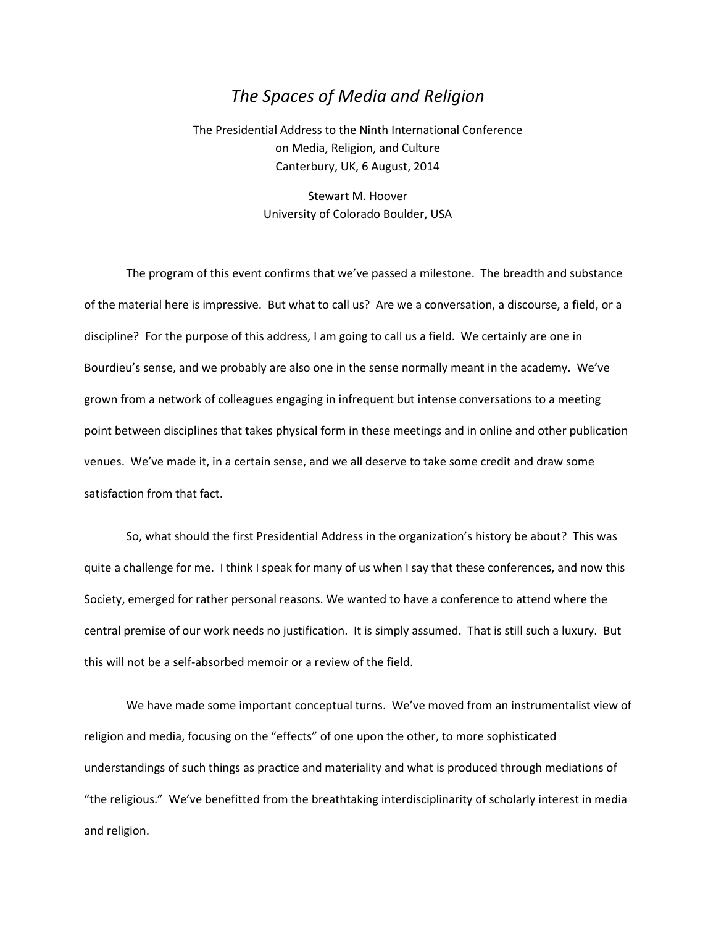## *The Spaces of Media and Religion*

The Presidential Address to the Ninth International Conference on Media, Religion, and Culture Canterbury, UK, 6 August, 2014

> Stewart M. Hoover University of Colorado Boulder, USA

The program of this event confirms that we've passed a milestone. The breadth and substance of the material here is impressive. But what to call us? Are we a conversation, a discourse, a field, or a discipline? For the purpose of this address, I am going to call us a field. We certainly are one in Bourdieu's sense, and we probably are also one in the sense normally meant in the academy. We've grown from a network of colleagues engaging in infrequent but intense conversations to a meeting point between disciplines that takes physical form in these meetings and in online and other publication venues. We've made it, in a certain sense, and we all deserve to take some credit and draw some satisfaction from that fact.

So, what should the first Presidential Address in the organization's history be about? This was quite a challenge for me. I think I speak for many of us when I say that these conferences, and now this Society, emerged for rather personal reasons. We wanted to have a conference to attend where the central premise of our work needs no justification. It is simply assumed. That is still such a luxury. But this will not be a self-absorbed memoir or a review of the field.

We have made some important conceptual turns. We've moved from an instrumentalist view of religion and media, focusing on the "effects" of one upon the other, to more sophisticated understandings of such things as practice and materiality and what is produced through mediations of "the religious." We've benefitted from the breathtaking interdisciplinarity of scholarly interest in media and religion.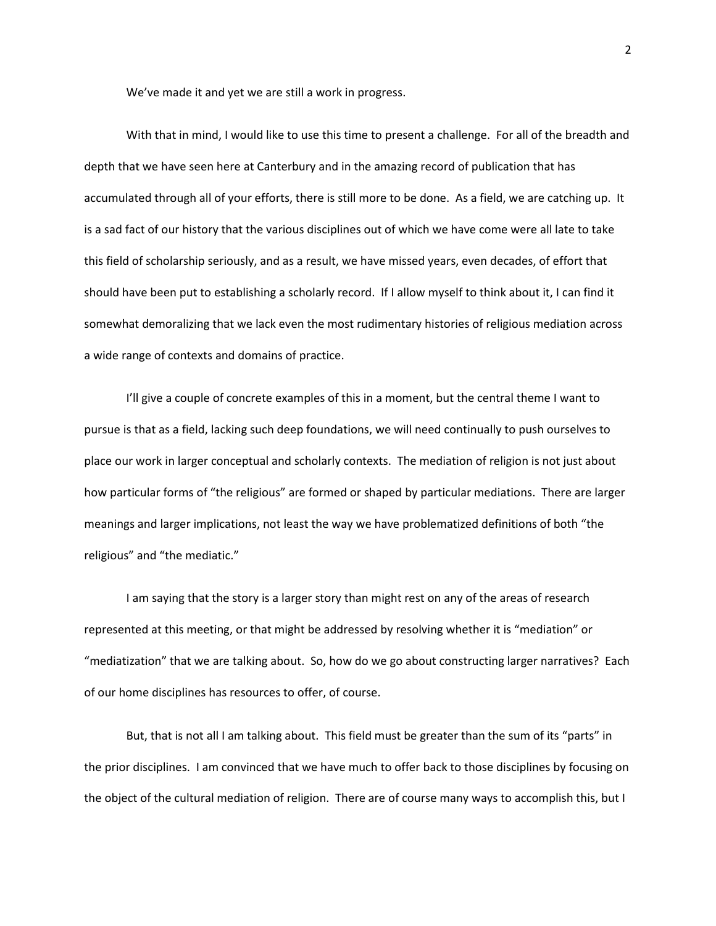We've made it and yet we are still a work in progress.

With that in mind, I would like to use this time to present a challenge. For all of the breadth and depth that we have seen here at Canterbury and in the amazing record of publication that has accumulated through all of your efforts, there is still more to be done. As a field, we are catching up. It is a sad fact of our history that the various disciplines out of which we have come were all late to take this field of scholarship seriously, and as a result, we have missed years, even decades, of effort that should have been put to establishing a scholarly record. If I allow myself to think about it, I can find it somewhat demoralizing that we lack even the most rudimentary histories of religious mediation across a wide range of contexts and domains of practice.

I'll give a couple of concrete examples of this in a moment, but the central theme I want to pursue is that as a field, lacking such deep foundations, we will need continually to push ourselves to place our work in larger conceptual and scholarly contexts. The mediation of religion is not just about how particular forms of "the religious" are formed or shaped by particular mediations. There are larger meanings and larger implications, not least the way we have problematized definitions of both "the religious" and "the mediatic."

I am saying that the story is a larger story than might rest on any of the areas of research represented at this meeting, or that might be addressed by resolving whether it is "mediation" or "mediatization" that we are talking about. So, how do we go about constructing larger narratives? Each of our home disciplines has resources to offer, of course.

But, that is not all I am talking about. This field must be greater than the sum of its "parts" in the prior disciplines. I am convinced that we have much to offer back to those disciplines by focusing on the object of the cultural mediation of religion. There are of course many ways to accomplish this, but I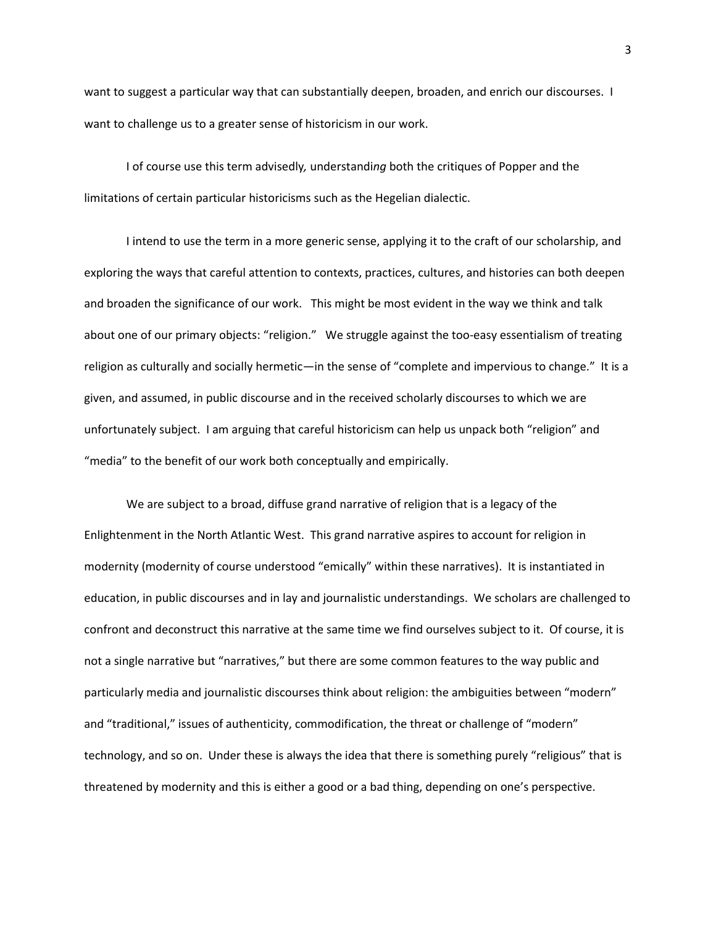want to suggest a particular way that can substantially deepen, broaden, and enrich our discourses. I want to challenge us to a greater sense of historicism in our work.

I of course use this term advisedly*,* understandi*ng* both the critiques of Popper and the limitations of certain particular historicisms such as the Hegelian dialectic.

I intend to use the term in a more generic sense, applying it to the craft of our scholarship, and exploring the ways that careful attention to contexts, practices, cultures, and histories can both deepen and broaden the significance of our work. This might be most evident in the way we think and talk about one of our primary objects: "religion." We struggle against the too-easy essentialism of treating religion as culturally and socially hermetic—in the sense of "complete and impervious to change." It is a given, and assumed, in public discourse and in the received scholarly discourses to which we are unfortunately subject. I am arguing that careful historicism can help us unpack both "religion" and "media" to the benefit of our work both conceptually and empirically.

We are subject to a broad, diffuse grand narrative of religion that is a legacy of the Enlightenment in the North Atlantic West. This grand narrative aspires to account for religion in modernity (modernity of course understood "emically" within these narratives). It is instantiated in education, in public discourses and in lay and journalistic understandings. We scholars are challenged to confront and deconstruct this narrative at the same time we find ourselves subject to it. Of course, it is not a single narrative but "narratives," but there are some common features to the way public and particularly media and journalistic discourses think about religion: the ambiguities between "modern" and "traditional," issues of authenticity, commodification, the threat or challenge of "modern" technology, and so on. Under these is always the idea that there is something purely "religious" that is threatened by modernity and this is either a good or a bad thing, depending on one's perspective.

3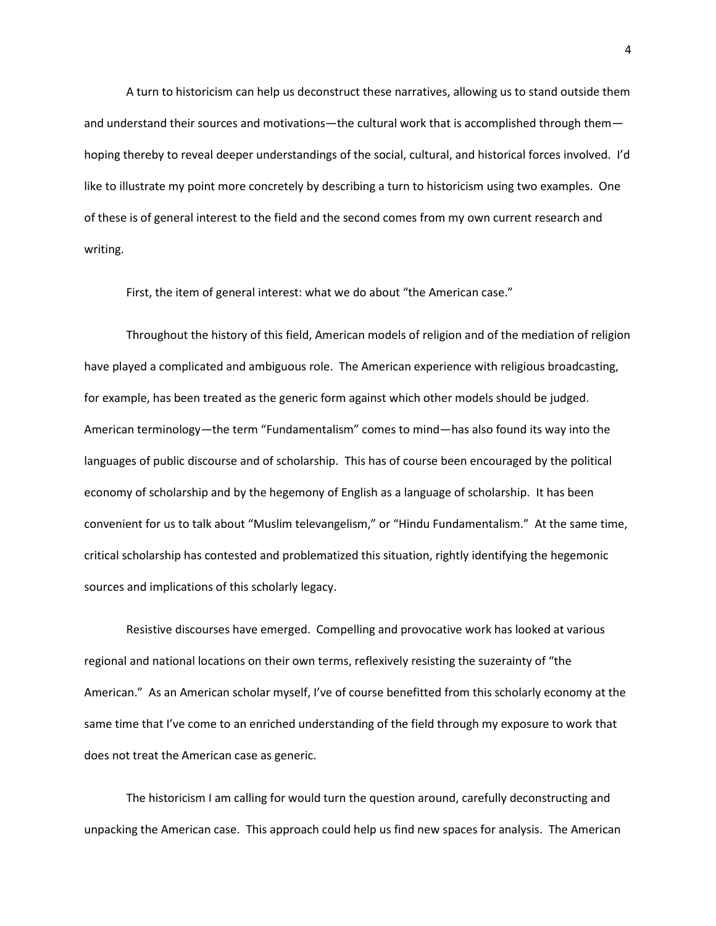A turn to historicism can help us deconstruct these narratives, allowing us to stand outside them and understand their sources and motivations—the cultural work that is accomplished through them hoping thereby to reveal deeper understandings of the social, cultural, and historical forces involved. I'd like to illustrate my point more concretely by describing a turn to historicism using two examples. One of these is of general interest to the field and the second comes from my own current research and writing.

First, the item of general interest: what we do about "the American case."

Throughout the history of this field, American models of religion and of the mediation of religion have played a complicated and ambiguous role. The American experience with religious broadcasting, for example, has been treated as the generic form against which other models should be judged. American terminology—the term "Fundamentalism" comes to mind—has also found its way into the languages of public discourse and of scholarship. This has of course been encouraged by the political economy of scholarship and by the hegemony of English as a language of scholarship. It has been convenient for us to talk about "Muslim televangelism," or "Hindu Fundamentalism." At the same time, critical scholarship has contested and problematized this situation, rightly identifying the hegemonic sources and implications of this scholarly legacy.

Resistive discourses have emerged. Compelling and provocative work has looked at various regional and national locations on their own terms, reflexively resisting the suzerainty of "the American." As an American scholar myself, I've of course benefitted from this scholarly economy at the same time that I've come to an enriched understanding of the field through my exposure to work that does not treat the American case as generic.

The historicism I am calling for would turn the question around, carefully deconstructing and unpacking the American case. This approach could help us find new spaces for analysis. The American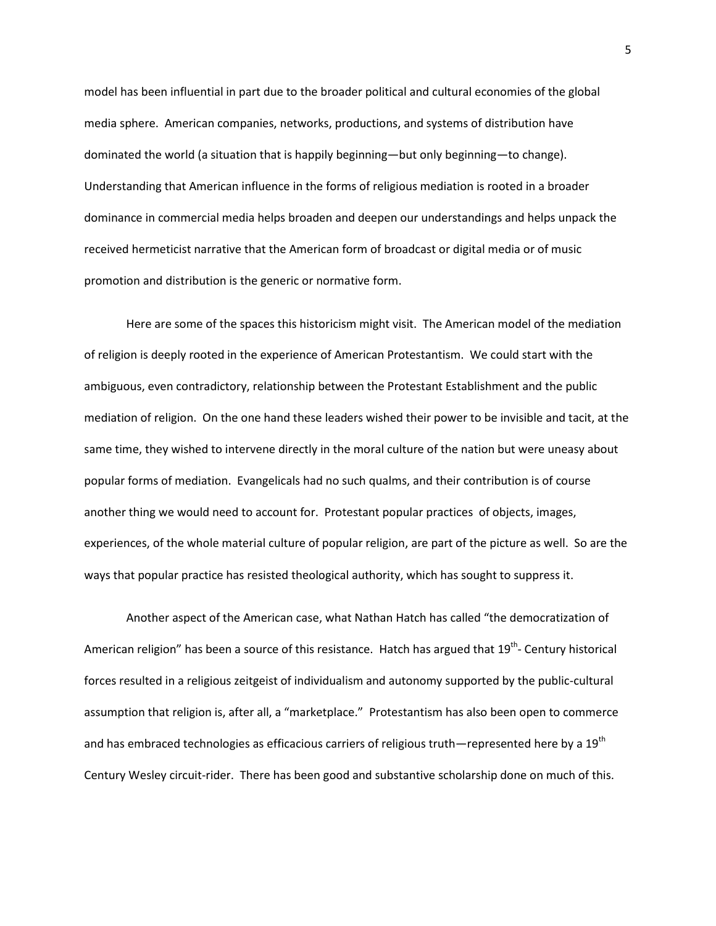model has been influential in part due to the broader political and cultural economies of the global media sphere. American companies, networks, productions, and systems of distribution have dominated the world (a situation that is happily beginning—but only beginning—to change). Understanding that American influence in the forms of religious mediation is rooted in a broader dominance in commercial media helps broaden and deepen our understandings and helps unpack the received hermeticist narrative that the American form of broadcast or digital media or of music promotion and distribution is the generic or normative form.

Here are some of the spaces this historicism might visit. The American model of the mediation of religion is deeply rooted in the experience of American Protestantism. We could start with the ambiguous, even contradictory, relationship between the Protestant Establishment and the public mediation of religion. On the one hand these leaders wished their power to be invisible and tacit, at the same time, they wished to intervene directly in the moral culture of the nation but were uneasy about popular forms of mediation. Evangelicals had no such qualms, and their contribution is of course another thing we would need to account for. Protestant popular practices of objects, images, experiences, of the whole material culture of popular religion, are part of the picture as well. So are the ways that popular practice has resisted theological authority, which has sought to suppress it.

Another aspect of the American case, what Nathan Hatch has called "the democratization of American religion" has been a source of this resistance. Hatch has argued that 19<sup>th</sup>- Century historical forces resulted in a religious zeitgeist of individualism and autonomy supported by the public-cultural assumption that religion is, after all, a "marketplace." Protestantism has also been open to commerce and has embraced technologies as efficacious carriers of religious truth—represented here by a 19<sup>th</sup> Century Wesley circuit-rider. There has been good and substantive scholarship done on much of this.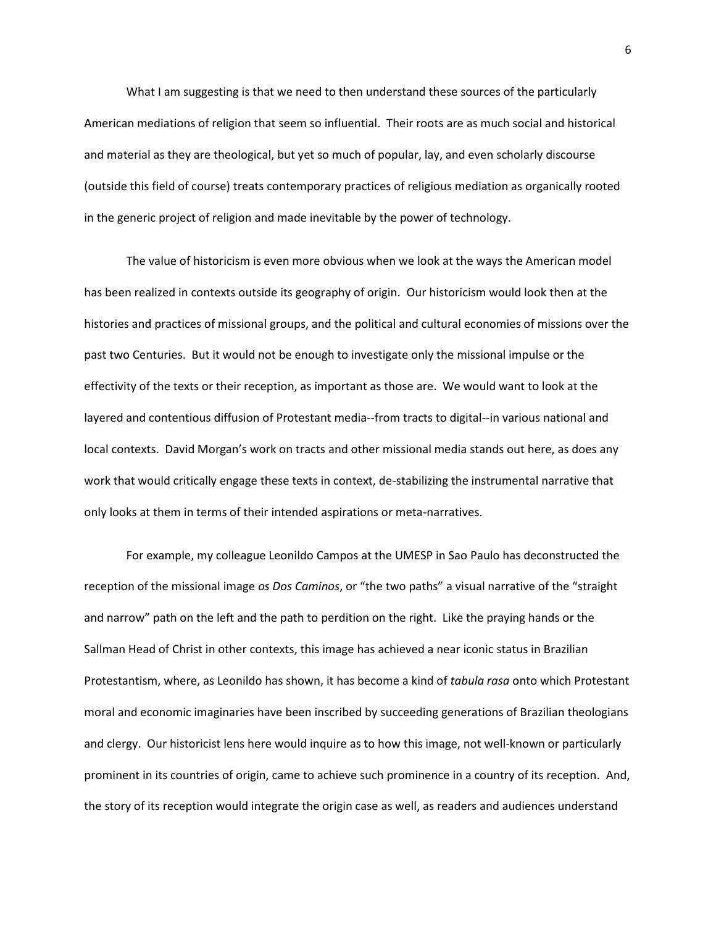What I am suggesting is that we need to then understand these sources of the particularly American mediations of religion that seem so influential. Their roots are as much social and historical and material as they are theological, but yet so much of popular, lay, and even scholarly discourse (outside this field of course) treats contemporary practices of religious mediation as organically rooted in the generic project of religion and made inevitable by the power of technology.

The value of historicism is even more obvious when we look at the ways the American model has been realized in contexts outside its geography of origin. Our historicism would look then at the histories and practices of missional groups, and the political and cultural economies of missions over the past two Centuries. But it would not be enough to investigate only the missional impulse or the effectivity of the texts or their reception, as important as those are. We would want to look at the layered and contentious diffusion of Protestant media--from tracts to digital--in various national and local contexts. David Morgan's work on tracts and other missional media stands out here, as does any work that would critically engage these texts in context, de-stabilizing the instrumental narrative that only looks at them in terms of their intended aspirations or meta-narratives.

For example, my colleague Leonildo Campos at the UMESP in Sao Paulo has deconstructed the reception of the missional image *os Dos Caminos*, or "the two paths" a visual narrative of the "straight and narrow" path on the left and the path to perdition on the right. Like the praying hands or the Sallman Head of Christ in other contexts, this image has achieved a near iconic status in Brazilian Protestantism, where, as Leonildo has shown, it has become a kind of *tabula rasa* onto which Protestant moral and economic imaginaries have been inscribed by succeeding generations of Brazilian theologians and clergy. Our historicist lens here would inquire as to how this image, not well-known or particularly prominent in its countries of origin, came to achieve such prominence in a country of its reception. And, the story of its reception would integrate the origin case as well, as readers and audiences understand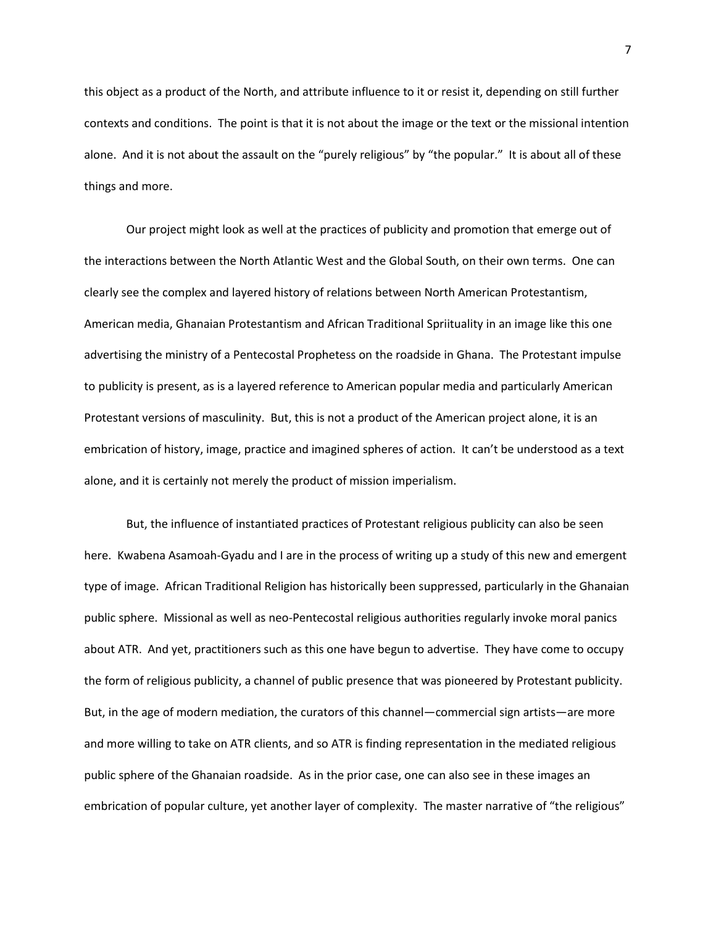this object as a product of the North, and attribute influence to it or resist it, depending on still further contexts and conditions. The point is that it is not about the image or the text or the missional intention alone. And it is not about the assault on the "purely religious" by "the popular." It is about all of these things and more.

Our project might look as well at the practices of publicity and promotion that emerge out of the interactions between the North Atlantic West and the Global South, on their own terms. One can clearly see the complex and layered history of relations between North American Protestantism, American media, Ghanaian Protestantism and African Traditional Spriituality in an image like this one advertising the ministry of a Pentecostal Prophetess on the roadside in Ghana. The Protestant impulse to publicity is present, as is a layered reference to American popular media and particularly American Protestant versions of masculinity. But, this is not a product of the American project alone, it is an embrication of history, image, practice and imagined spheres of action. It can't be understood as a text alone, and it is certainly not merely the product of mission imperialism.

But, the influence of instantiated practices of Protestant religious publicity can also be seen here. Kwabena Asamoah-Gyadu and I are in the process of writing up a study of this new and emergent type of image. African Traditional Religion has historically been suppressed, particularly in the Ghanaian public sphere. Missional as well as neo-Pentecostal religious authorities regularly invoke moral panics about ATR. And yet, practitioners such as this one have begun to advertise. They have come to occupy the form of religious publicity, a channel of public presence that was pioneered by Protestant publicity. But, in the age of modern mediation, the curators of this channel—commercial sign artists—are more and more willing to take on ATR clients, and so ATR is finding representation in the mediated religious public sphere of the Ghanaian roadside. As in the prior case, one can also see in these images an embrication of popular culture, yet another layer of complexity. The master narrative of "the religious"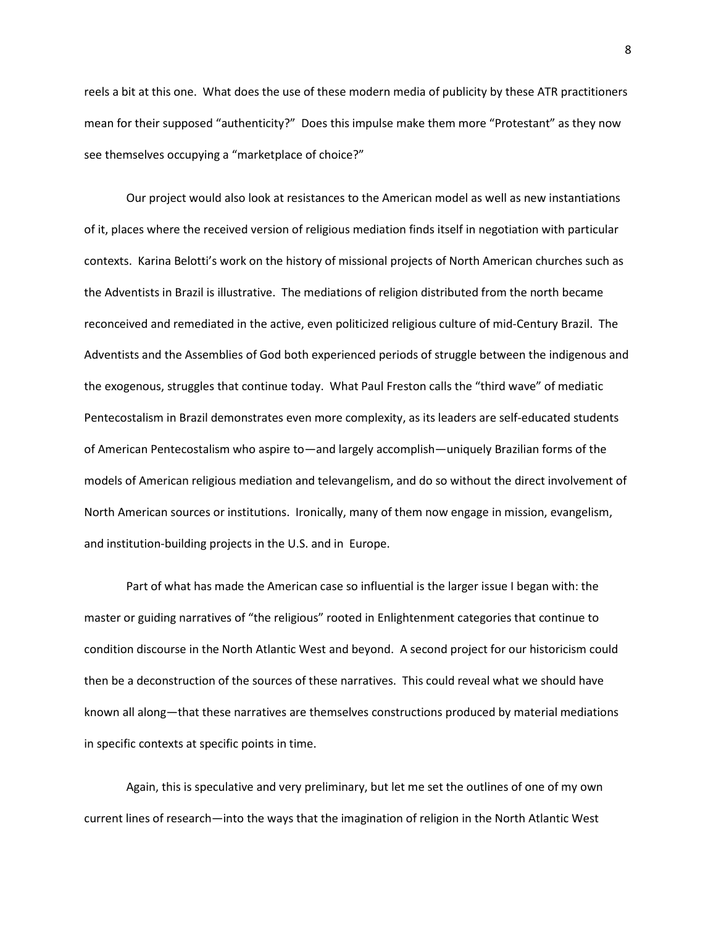reels a bit at this one. What does the use of these modern media of publicity by these ATR practitioners mean for their supposed "authenticity?" Does this impulse make them more "Protestant" as they now see themselves occupying a "marketplace of choice?"

Our project would also look at resistances to the American model as well as new instantiations of it, places where the received version of religious mediation finds itself in negotiation with particular contexts. Karina Belotti's work on the history of missional projects of North American churches such as the Adventists in Brazil is illustrative. The mediations of religion distributed from the north became reconceived and remediated in the active, even politicized religious culture of mid-Century Brazil. The Adventists and the Assemblies of God both experienced periods of struggle between the indigenous and the exogenous, struggles that continue today. What Paul Freston calls the "third wave" of mediatic Pentecostalism in Brazil demonstrates even more complexity, as its leaders are self-educated students of American Pentecostalism who aspire to—and largely accomplish—uniquely Brazilian forms of the models of American religious mediation and televangelism, and do so without the direct involvement of North American sources or institutions. Ironically, many of them now engage in mission, evangelism, and institution-building projects in the U.S. and in Europe.

Part of what has made the American case so influential is the larger issue I began with: the master or guiding narratives of "the religious" rooted in Enlightenment categories that continue to condition discourse in the North Atlantic West and beyond. A second project for our historicism could then be a deconstruction of the sources of these narratives. This could reveal what we should have known all along—that these narratives are themselves constructions produced by material mediations in specific contexts at specific points in time.

Again, this is speculative and very preliminary, but let me set the outlines of one of my own current lines of research—into the ways that the imagination of religion in the North Atlantic West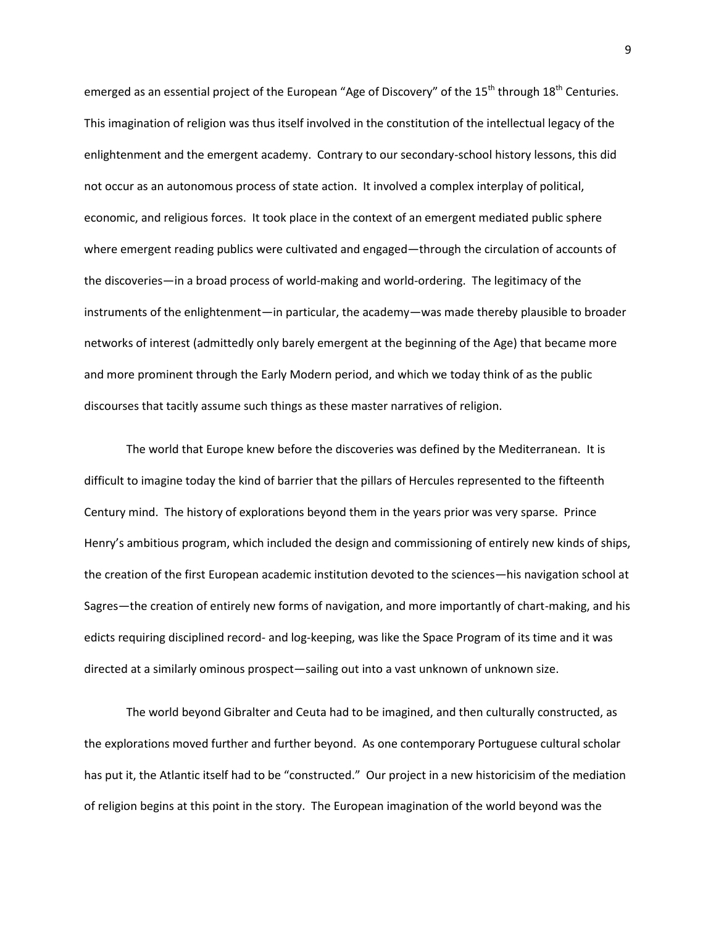emerged as an essential project of the European "Age of Discovery" of the  $15<sup>th</sup>$  through  $18<sup>th</sup>$  Centuries. This imagination of religion was thus itself involved in the constitution of the intellectual legacy of the enlightenment and the emergent academy. Contrary to our secondary-school history lessons, this did not occur as an autonomous process of state action. It involved a complex interplay of political, economic, and religious forces. It took place in the context of an emergent mediated public sphere where emergent reading publics were cultivated and engaged—through the circulation of accounts of the discoveries—in a broad process of world-making and world-ordering. The legitimacy of the instruments of the enlightenment—in particular, the academy—was made thereby plausible to broader networks of interest (admittedly only barely emergent at the beginning of the Age) that became more and more prominent through the Early Modern period, and which we today think of as the public discourses that tacitly assume such things as these master narratives of religion.

The world that Europe knew before the discoveries was defined by the Mediterranean. It is difficult to imagine today the kind of barrier that the pillars of Hercules represented to the fifteenth Century mind. The history of explorations beyond them in the years prior was very sparse. Prince Henry's ambitious program, which included the design and commissioning of entirely new kinds of ships, the creation of the first European academic institution devoted to the sciences—his navigation school at Sagres—the creation of entirely new forms of navigation, and more importantly of chart-making, and his edicts requiring disciplined record- and log-keeping, was like the Space Program of its time and it was directed at a similarly ominous prospect—sailing out into a vast unknown of unknown size.

The world beyond Gibralter and Ceuta had to be imagined, and then culturally constructed, as the explorations moved further and further beyond. As one contemporary Portuguese cultural scholar has put it, the Atlantic itself had to be "constructed." Our project in a new historicisim of the mediation of religion begins at this point in the story. The European imagination of the world beyond was the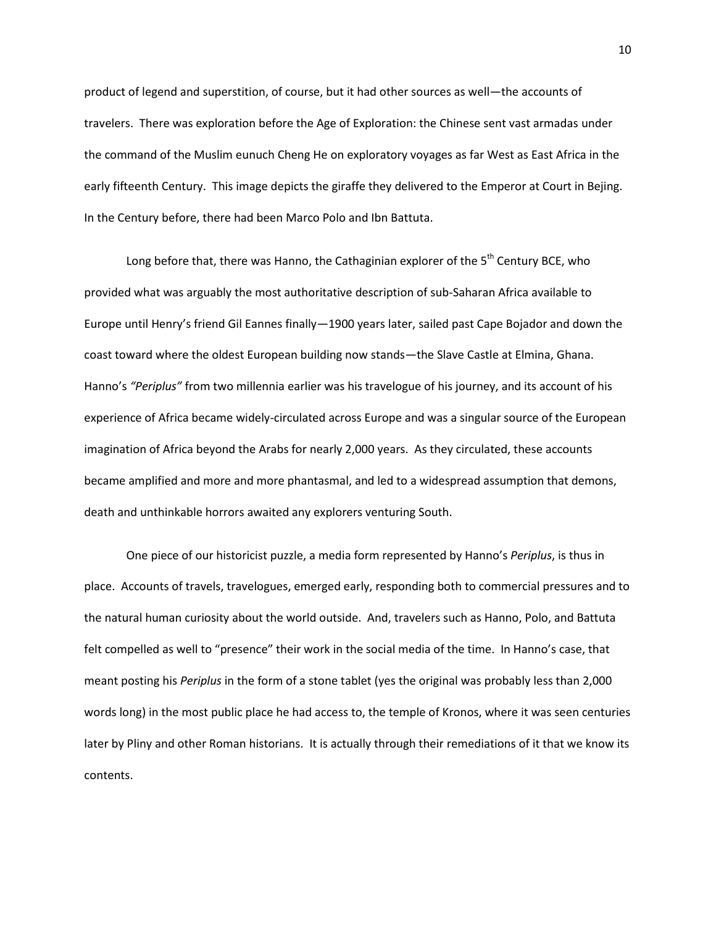product of legend and superstition, of course, but it had other sources as well—the accounts of travelers. There was exploration before the Age of Exploration: the Chinese sent vast armadas under the command of the Muslim eunuch Cheng He on exploratory voyages as far West as East Africa in the early fifteenth Century. This image depicts the giraffe they delivered to the Emperor at Court in Bejing. In the Century before, there had been Marco Polo and Ibn Battuta.

Long before that, there was Hanno, the Cathaginian explorer of the  $5<sup>th</sup>$  Century BCE, who provided what was arguably the most authoritative description of sub-Saharan Africa available to Europe until Henry's friend Gil Eannes finally—1900 years later, sailed past Cape Bojador and down the coast toward where the oldest European building now stands—the Slave Castle at Elmina, Ghana. Hanno's *"Periplus"* from two millennia earlier was his travelogue of his journey, and its account of his experience of Africa became widely-circulated across Europe and was a singular source of the European imagination of Africa beyond the Arabs for nearly 2,000 years. As they circulated, these accounts became amplified and more and more phantasmal, and led to a widespread assumption that demons, death and unthinkable horrors awaited any explorers venturing South.

One piece of our historicist puzzle, a media form represented by Hanno's *Periplus*, is thus in place. Accounts of travels, travelogues, emerged early, responding both to commercial pressures and to the natural human curiosity about the world outside. And, travelers such as Hanno, Polo, and Battuta felt compelled as well to "presence" their work in the social media of the time. In Hanno's case, that meant posting his *Periplus* in the form of a stone tablet (yes the original was probably less than 2,000 words long) in the most public place he had access to, the temple of Kronos, where it was seen centuries later by Pliny and other Roman historians. It is actually through their remediations of it that we know its contents.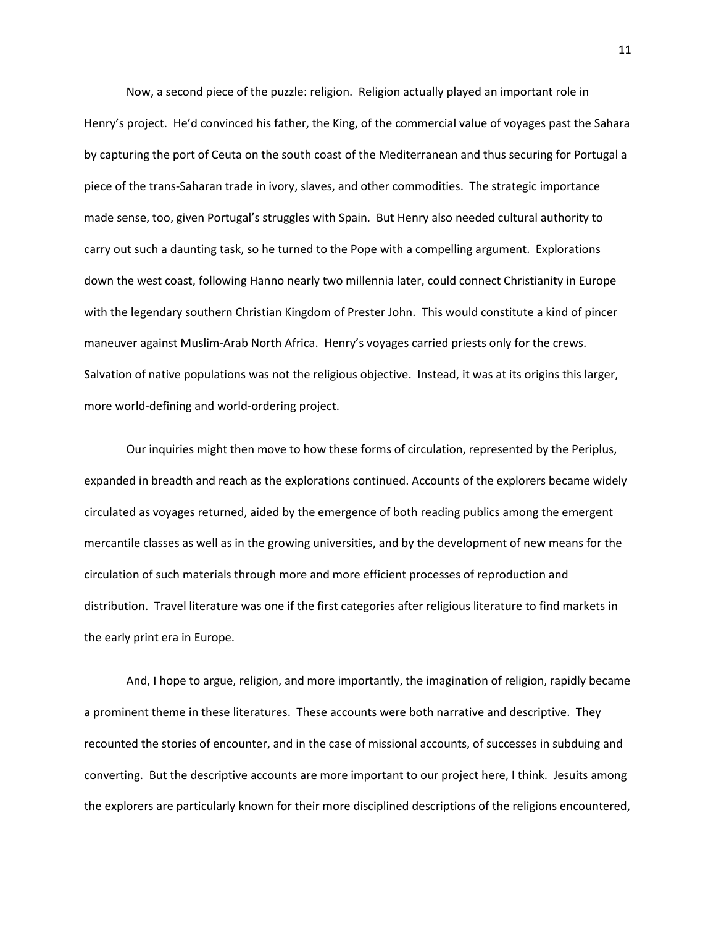Now, a second piece of the puzzle: religion. Religion actually played an important role in Henry's project. He'd convinced his father, the King, of the commercial value of voyages past the Sahara by capturing the port of Ceuta on the south coast of the Mediterranean and thus securing for Portugal a piece of the trans-Saharan trade in ivory, slaves, and other commodities. The strategic importance made sense, too, given Portugal's struggles with Spain. But Henry also needed cultural authority to carry out such a daunting task, so he turned to the Pope with a compelling argument. Explorations down the west coast, following Hanno nearly two millennia later, could connect Christianity in Europe with the legendary southern Christian Kingdom of Prester John. This would constitute a kind of pincer maneuver against Muslim-Arab North Africa. Henry's voyages carried priests only for the crews. Salvation of native populations was not the religious objective. Instead, it was at its origins this larger, more world-defining and world-ordering project.

Our inquiries might then move to how these forms of circulation, represented by the Periplus, expanded in breadth and reach as the explorations continued. Accounts of the explorers became widely circulated as voyages returned, aided by the emergence of both reading publics among the emergent mercantile classes as well as in the growing universities, and by the development of new means for the circulation of such materials through more and more efficient processes of reproduction and distribution. Travel literature was one if the first categories after religious literature to find markets in the early print era in Europe.

And, I hope to argue, religion, and more importantly, the imagination of religion, rapidly became a prominent theme in these literatures. These accounts were both narrative and descriptive. They recounted the stories of encounter, and in the case of missional accounts, of successes in subduing and converting. But the descriptive accounts are more important to our project here, I think. Jesuits among the explorers are particularly known for their more disciplined descriptions of the religions encountered,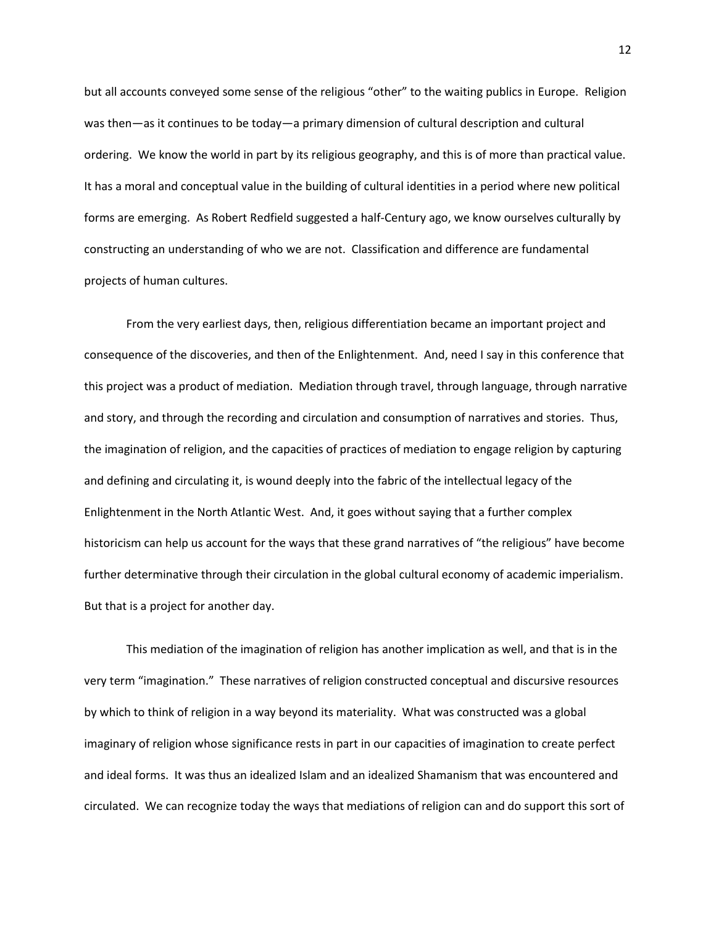but all accounts conveyed some sense of the religious "other" to the waiting publics in Europe. Religion was then—as it continues to be today—a primary dimension of cultural description and cultural ordering. We know the world in part by its religious geography, and this is of more than practical value. It has a moral and conceptual value in the building of cultural identities in a period where new political forms are emerging. As Robert Redfield suggested a half-Century ago, we know ourselves culturally by constructing an understanding of who we are not. Classification and difference are fundamental projects of human cultures.

From the very earliest days, then, religious differentiation became an important project and consequence of the discoveries, and then of the Enlightenment. And, need I say in this conference that this project was a product of mediation. Mediation through travel, through language, through narrative and story, and through the recording and circulation and consumption of narratives and stories. Thus, the imagination of religion, and the capacities of practices of mediation to engage religion by capturing and defining and circulating it, is wound deeply into the fabric of the intellectual legacy of the Enlightenment in the North Atlantic West. And, it goes without saying that a further complex historicism can help us account for the ways that these grand narratives of "the religious" have become further determinative through their circulation in the global cultural economy of academic imperialism. But that is a project for another day.

This mediation of the imagination of religion has another implication as well, and that is in the very term "imagination." These narratives of religion constructed conceptual and discursive resources by which to think of religion in a way beyond its materiality. What was constructed was a global imaginary of religion whose significance rests in part in our capacities of imagination to create perfect and ideal forms. It was thus an idealized Islam and an idealized Shamanism that was encountered and circulated. We can recognize today the ways that mediations of religion can and do support this sort of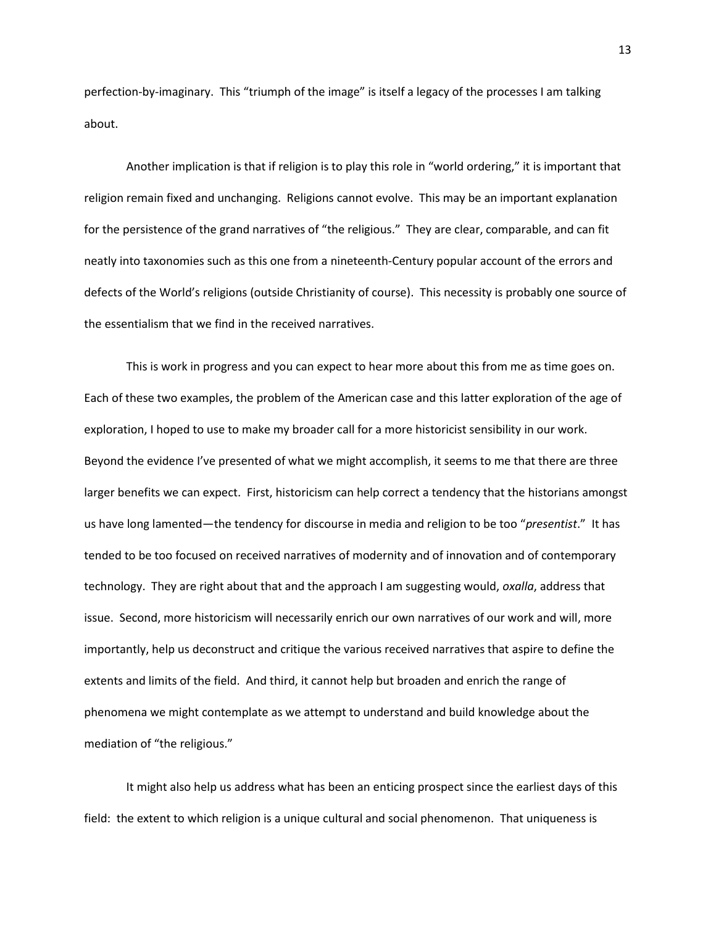perfection-by-imaginary. This "triumph of the image" is itself a legacy of the processes I am talking about.

Another implication is that if religion is to play this role in "world ordering," it is important that religion remain fixed and unchanging. Religions cannot evolve. This may be an important explanation for the persistence of the grand narratives of "the religious." They are clear, comparable, and can fit neatly into taxonomies such as this one from a nineteenth-Century popular account of the errors and defects of the World's religions (outside Christianity of course). This necessity is probably one source of the essentialism that we find in the received narratives.

This is work in progress and you can expect to hear more about this from me as time goes on. Each of these two examples, the problem of the American case and this latter exploration of the age of exploration, I hoped to use to make my broader call for a more historicist sensibility in our work. Beyond the evidence I've presented of what we might accomplish, it seems to me that there are three larger benefits we can expect. First, historicism can help correct a tendency that the historians amongst us have long lamented—the tendency for discourse in media and religion to be too "*presentist*." It has tended to be too focused on received narratives of modernity and of innovation and of contemporary technology. They are right about that and the approach I am suggesting would, *oxalla*, address that issue. Second, more historicism will necessarily enrich our own narratives of our work and will, more importantly, help us deconstruct and critique the various received narratives that aspire to define the extents and limits of the field. And third, it cannot help but broaden and enrich the range of phenomena we might contemplate as we attempt to understand and build knowledge about the mediation of "the religious."

It might also help us address what has been an enticing prospect since the earliest days of this field: the extent to which religion is a unique cultural and social phenomenon. That uniqueness is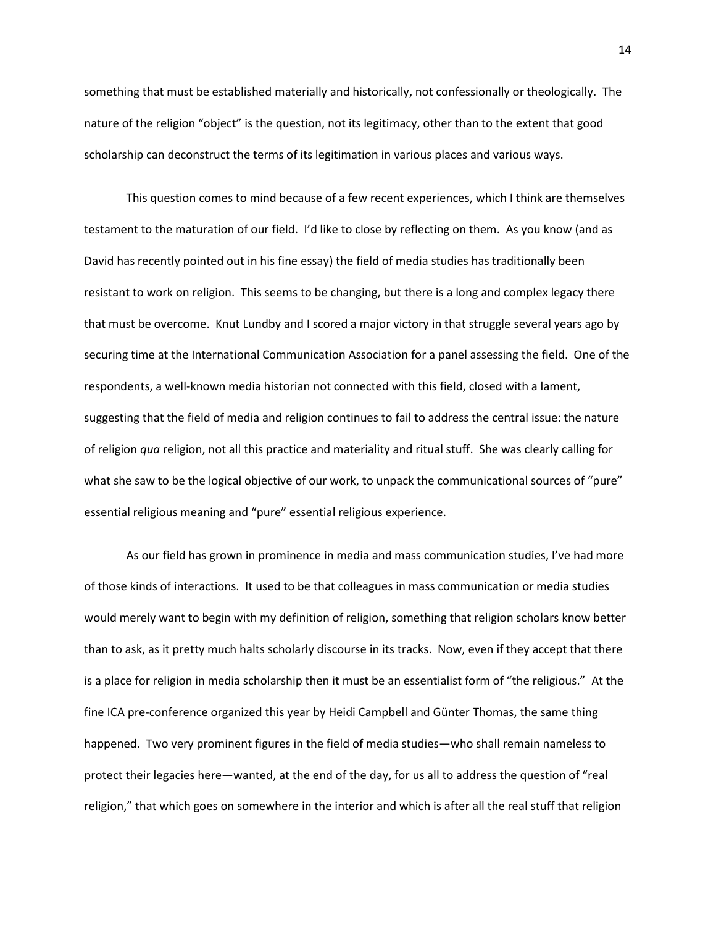something that must be established materially and historically, not confessionally or theologically. The nature of the religion "object" is the question, not its legitimacy, other than to the extent that good scholarship can deconstruct the terms of its legitimation in various places and various ways.

This question comes to mind because of a few recent experiences, which I think are themselves testament to the maturation of our field. I'd like to close by reflecting on them. As you know (and as David has recently pointed out in his fine essay) the field of media studies has traditionally been resistant to work on religion. This seems to be changing, but there is a long and complex legacy there that must be overcome. Knut Lundby and I scored a major victory in that struggle several years ago by securing time at the International Communication Association for a panel assessing the field. One of the respondents, a well-known media historian not connected with this field, closed with a lament, suggesting that the field of media and religion continues to fail to address the central issue: the nature of religion *qua* religion, not all this practice and materiality and ritual stuff. She was clearly calling for what she saw to be the logical objective of our work, to unpack the communicational sources of "pure" essential religious meaning and "pure" essential religious experience.

As our field has grown in prominence in media and mass communication studies, I've had more of those kinds of interactions. It used to be that colleagues in mass communication or media studies would merely want to begin with my definition of religion, something that religion scholars know better than to ask, as it pretty much halts scholarly discourse in its tracks. Now, even if they accept that there is a place for religion in media scholarship then it must be an essentialist form of "the religious." At the fine ICA pre-conference organized this year by Heidi Campbell and Günter Thomas, the same thing happened. Two very prominent figures in the field of media studies—who shall remain nameless to protect their legacies here—wanted, at the end of the day, for us all to address the question of "real religion," that which goes on somewhere in the interior and which is after all the real stuff that religion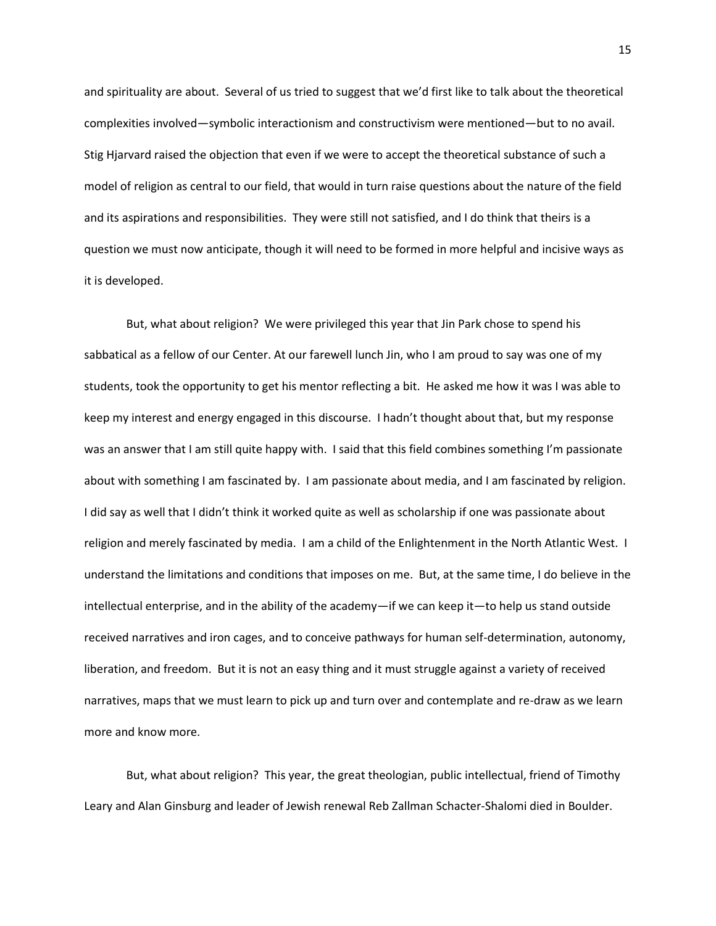and spirituality are about. Several of us tried to suggest that we'd first like to talk about the theoretical complexities involved—symbolic interactionism and constructivism were mentioned—but to no avail. Stig Hjarvard raised the objection that even if we were to accept the theoretical substance of such a model of religion as central to our field, that would in turn raise questions about the nature of the field and its aspirations and responsibilities. They were still not satisfied, and I do think that theirs is a question we must now anticipate, though it will need to be formed in more helpful and incisive ways as it is developed.

But, what about religion? We were privileged this year that Jin Park chose to spend his sabbatical as a fellow of our Center. At our farewell lunch Jin, who I am proud to say was one of my students, took the opportunity to get his mentor reflecting a bit. He asked me how it was I was able to keep my interest and energy engaged in this discourse. I hadn't thought about that, but my response was an answer that I am still quite happy with. I said that this field combines something I'm passionate about with something I am fascinated by. I am passionate about media, and I am fascinated by religion. I did say as well that I didn't think it worked quite as well as scholarship if one was passionate about religion and merely fascinated by media. I am a child of the Enlightenment in the North Atlantic West. I understand the limitations and conditions that imposes on me. But, at the same time, I do believe in the intellectual enterprise, and in the ability of the academy—if we can keep it—to help us stand outside received narratives and iron cages, and to conceive pathways for human self-determination, autonomy, liberation, and freedom. But it is not an easy thing and it must struggle against a variety of received narratives, maps that we must learn to pick up and turn over and contemplate and re-draw as we learn more and know more.

But, what about religion? This year, the great theologian, public intellectual, friend of Timothy Leary and Alan Ginsburg and leader of Jewish renewal Reb Zallman Schacter-Shalomi died in Boulder.